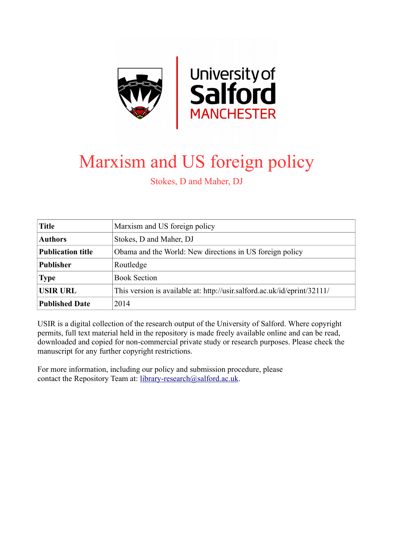

# Marxism and US foreign policy

Stokes, D and Maher, DJ

| <b>Title</b>             | Marxism and US foreign policy                                            |
|--------------------------|--------------------------------------------------------------------------|
| <b>Authors</b>           | Stokes, D and Maher, DJ                                                  |
| <b>Publication title</b> | Obama and the World: New directions in US foreign policy                 |
| <b>Publisher</b>         | Routledge                                                                |
| <b>Type</b>              | <b>Book Section</b>                                                      |
| <b>USIR URL</b>          | This version is available at: http://usir.salford.ac.uk/id/eprint/32111/ |
| <b>Published Date</b>    | 2014                                                                     |

USIR is a digital collection of the research output of the University of Salford. Where copyright permits, full text material held in the repository is made freely available online and can be read, downloaded and copied for non-commercial private study or research purposes. Please check the manuscript for any further copyright restrictions.

For more information, including our policy and submission procedure, please contact the Repository Team at: [library-research@salford.ac.uk.](mailto:library-research@salford.ac.uk)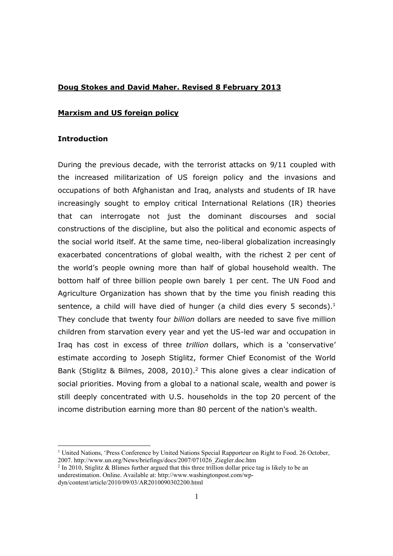### **Doug Stokes and David Maher. Revised 8 February 2013**

#### **Marxism and US foreign policy**

#### **Introduction**

-

During the previous decade, with the terrorist attacks on 9/11 coupled with the increased militarization of US foreign policy and the invasions and occupations of both Afghanistan and Iraq, analysts and students of IR have increasingly sought to employ critical International Relations (IR) theories that can interrogate not just the dominant discourses and social constructions of the discipline, but also the political and economic aspects of the social world itself. At the same time, neo-liberal globalization increasingly exacerbated concentrations of global wealth, with the richest 2 per cent of the world's people owning more than half of global household wealth. The bottom half of three billion people own barely 1 per cent. The UN Food and Agriculture Organization has shown that by the time you finish reading this sentence, a child will have died of hunger (a child dies every 5 seconds).<sup>1</sup> They conclude that twenty four *billion* dollars are needed to save five million children from starvation every year and yet the US-led war and occupation in Iraq has cost in excess of three *trillion* dollars, which is a 'conservative' estimate according to Joseph Stiglitz, former Chief Economist of the World Bank (Stiglitz & Bilmes, 2008, 2010).<sup>2</sup> This alone gives a clear indication of social priorities. Moving from a global to a national scale, wealth and power is still deeply concentrated with U.S. households in the top 20 percent of the income distribution earning more than 80 percent of the nation's wealth.

<sup>&</sup>lt;sup>1</sup> United Nations, 'Press Conference by United Nations Special Rapporteur on Right to Food. 26 October, 2007. http://www.un.org/News/briefings/docs/2007/071026\_Ziegler.doc.htm

 $2 \text{ In } 2010$ , Stiglitz & Blimes further argued that this three trillion dollar price tag is likely to be an underestimation. Online. Available at: http://www.washingtonpost.com/wpdyn/content/article/2010/09/03/AR2010090302200.html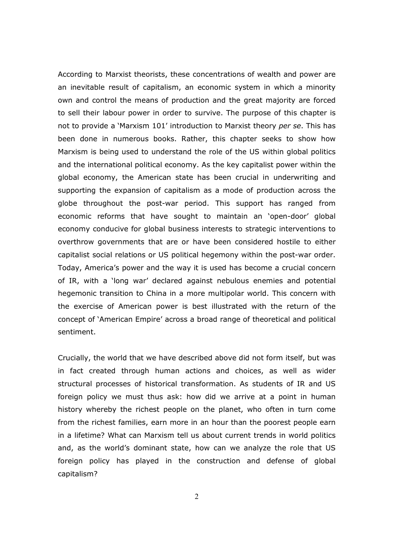According to Marxist theorists, these concentrations of wealth and power are an inevitable result of capitalism, an economic system in which a minority own and control the means of production and the great majority are forced to sell their labour power in order to survive. The purpose of this chapter is not to provide a 'Marxism 101' introduction to Marxist theory *per se*. This has been done in numerous books. Rather, this chapter seeks to show how Marxism is being used to understand the role of the US within global politics and the international political economy. As the key capitalist power within the global economy, the American state has been crucial in underwriting and supporting the expansion of capitalism as a mode of production across the globe throughout the post-war period. This support has ranged from economic reforms that have sought to maintain an 'open-door' global economy conducive for global business interests to strategic interventions to overthrow governments that are or have been considered hostile to either capitalist social relations or US political hegemony within the post-war order. Today, America's power and the way it is used has become a crucial concern of IR, with a 'long war' declared against nebulous enemies and potential hegemonic transition to China in a more multipolar world. This concern with the exercise of American power is best illustrated with the return of the concept of 'American Empire' across a broad range of theoretical and political sentiment.

Crucially, the world that we have described above did not form itself, but was in fact created through human actions and choices, as well as wider structural processes of historical transformation. As students of IR and US foreign policy we must thus ask: how did we arrive at a point in human history whereby the richest people on the planet, who often in turn come from the richest families, earn more in an hour than the poorest people earn in a lifetime? What can Marxism tell us about current trends in world politics and, as the world's dominant state, how can we analyze the role that US foreign policy has played in the construction and defense of global capitalism?

2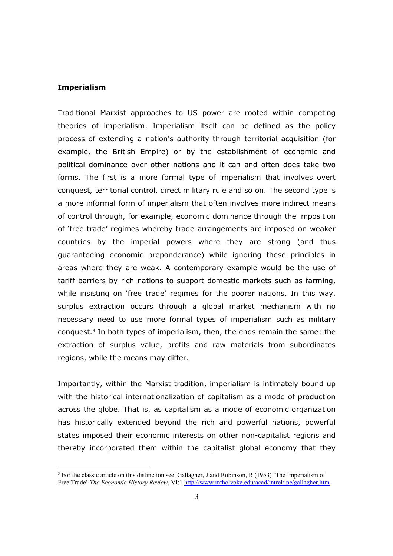#### **Imperialism**

-

Traditional Marxist approaches to US power are rooted within competing theories of imperialism. Imperialism itself can be defined as the policy process of extending a nation's authority through territorial acquisition (for example, the British Empire) or by the establishment of economic and political dominance over other nations and it can and often does take two forms. The first is a more formal type of imperialism that involves overt conquest, territorial control, direct military rule and so on. The second type is a more informal form of imperialism that often involves more indirect means of control through, for example, economic dominance through the imposition of 'free trade' regimes whereby trade arrangements are imposed on weaker countries by the imperial powers where they are strong (and thus guaranteeing economic preponderance) while ignoring these principles in areas where they are weak. A contemporary example would be the use of tariff barriers by rich nations to support domestic markets such as farming, while insisting on 'free trade' regimes for the poorer nations. In this way, surplus extraction occurs through a global market mechanism with no necessary need to use more formal types of imperialism such as military conquest.<sup>3</sup> In both types of imperialism, then, the ends remain the same: the extraction of surplus value, profits and raw materials from subordinates regions, while the means may differ.

Importantly, within the Marxist tradition, imperialism is intimately bound up with the historical internationalization of capitalism as a mode of production across the globe. That is, as capitalism as a mode of economic organization has historically extended beyond the rich and powerful nations, powerful states imposed their economic interests on other non-capitalist regions and thereby incorporated them within the capitalist global economy that they

<sup>&</sup>lt;sup>3</sup> For the classic article on this distinction see Gallagher, J and Robinson, R (1953) 'The Imperialism of Free Trade' *The Economic History Review*, VI:1 http://www.mtholyoke.edu/acad/intrel/ipe/gallagher.htm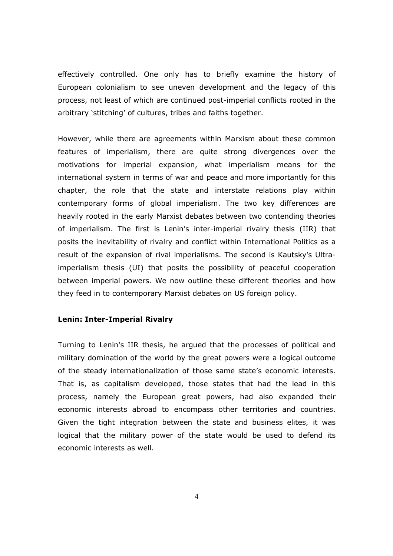effectively controlled. One only has to briefly examine the history of European colonialism to see uneven development and the legacy of this process, not least of which are continued post-imperial conflicts rooted in the arbitrary 'stitching' of cultures, tribes and faiths together.

However, while there are agreements within Marxism about these common features of imperialism, there are quite strong divergences over the motivations for imperial expansion, what imperialism means for the international system in terms of war and peace and more importantly for this chapter, the role that the state and interstate relations play within contemporary forms of global imperialism. The two key differences are heavily rooted in the early Marxist debates between two contending theories of imperialism. The first is Lenin's inter-imperial rivalry thesis (IIR) that posits the inevitability of rivalry and conflict within International Politics as a result of the expansion of rival imperialisms. The second is Kautsky's Ultraimperialism thesis (UI) that posits the possibility of peaceful cooperation between imperial powers. We now outline these different theories and how they feed in to contemporary Marxist debates on US foreign policy.

#### **Lenin: Inter-Imperial Rivalry**

Turning to Lenin's IIR thesis, he argued that the processes of political and military domination of the world by the great powers were a logical outcome of the steady internationalization of those same state's economic interests. That is, as capitalism developed, those states that had the lead in this process, namely the European great powers, had also expanded their economic interests abroad to encompass other territories and countries. Given the tight integration between the state and business elites, it was logical that the military power of the state would be used to defend its economic interests as well.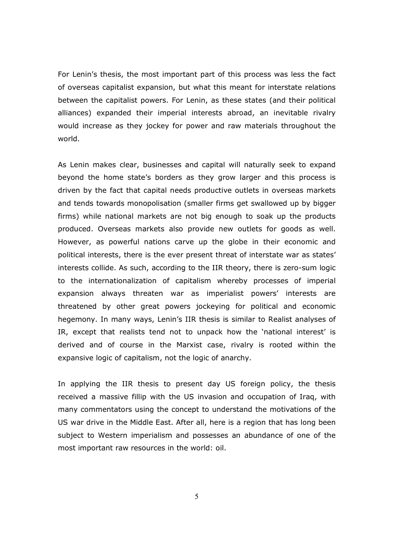For Lenin's thesis, the most important part of this process was less the fact of overseas capitalist expansion, but what this meant for interstate relations between the capitalist powers. For Lenin, as these states (and their political alliances) expanded their imperial interests abroad, an inevitable rivalry would increase as they jockey for power and raw materials throughout the world.

As Lenin makes clear, businesses and capital will naturally seek to expand beyond the home state's borders as they grow larger and this process is driven by the fact that capital needs productive outlets in overseas markets and tends towards monopolisation (smaller firms get swallowed up by bigger firms) while national markets are not big enough to soak up the products produced. Overseas markets also provide new outlets for goods as well. However, as powerful nations carve up the globe in their economic and political interests, there is the ever present threat of interstate war as states' interests collide. As such, according to the IIR theory, there is zero-sum logic to the internationalization of capitalism whereby processes of imperial expansion always threaten war as imperialist powers' interests are threatened by other great powers jockeying for political and economic hegemony. In many ways, Lenin's IIR thesis is similar to Realist analyses of IR, except that realists tend not to unpack how the 'national interest' is derived and of course in the Marxist case, rivalry is rooted within the expansive logic of capitalism, not the logic of anarchy.

In applying the IIR thesis to present day US foreign policy, the thesis received a massive fillip with the US invasion and occupation of Iraq, with many commentators using the concept to understand the motivations of the US war drive in the Middle East. After all, here is a region that has long been subject to Western imperialism and possesses an abundance of one of the most important raw resources in the world: oil.

5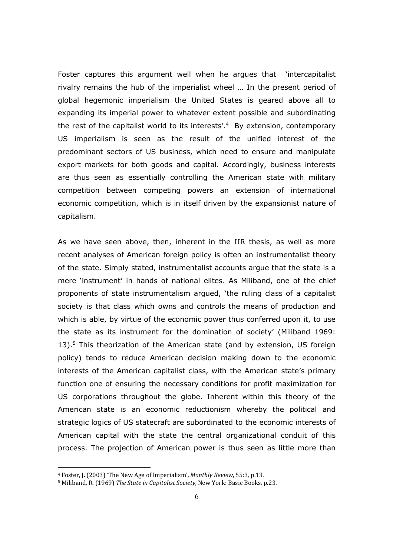Foster captures this argument well when he argues that 'intercapitalist rivalry remains the hub of the imperialist wheel … In the present period of global hegemonic imperialism the United States is geared above all to expanding its imperial power to whatever extent possible and subordinating the rest of the capitalist world to its interests'.<sup>4</sup> By extension, contemporary US imperialism is seen as the result of the unified interest of the predominant sectors of US business, which need to ensure and manipulate export markets for both goods and capital. Accordingly, business interests are thus seen as essentially controlling the American state with military competition between competing powers an extension of international economic competition, which is in itself driven by the expansionist nature of capitalism.

As we have seen above, then, inherent in the IIR thesis, as well as more recent analyses of American foreign policy is often an instrumentalist theory of the state. Simply stated, instrumentalist accounts argue that the state is a mere 'instrument' in hands of national elites. As Miliband, one of the chief proponents of state instrumentalism argued, 'the ruling class of a capitalist society is that class which owns and controls the means of production and which is able, by virtue of the economic power thus conferred upon it, to use the state as its instrument for the domination of society' (Miliband 1969: 13).<sup>5</sup> This theorization of the American state (and by extension, US foreign policy) tends to reduce American decision making down to the economic interests of the American capitalist class, with the American state's primary function one of ensuring the necessary conditions for profit maximization for US corporations throughout the globe. Inherent within this theory of the American state is an economic reductionism whereby the political and strategic logics of US statecraft are subordinated to the economic interests of American capital with the state the central organizational conduit of this process. The projection of American power is thus seen as little more than

<sup>4</sup> Foster, J. (2003) 'The New Age of Imperialism', *Monthly Review*, 55:3, p.13.

<sup>5</sup> Miliband, R. (1969) *The State in Capitalist Society,* New York: Basic Books, p.23.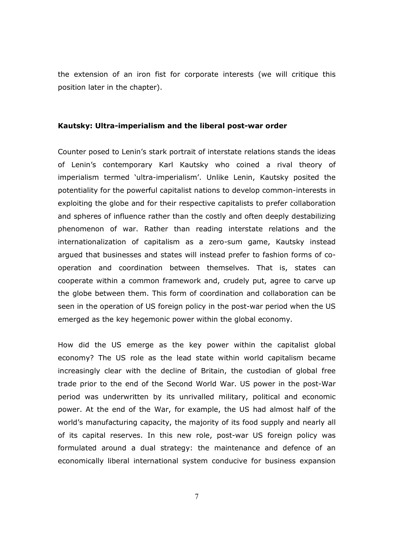the extension of an iron fist for corporate interests (we will critique this position later in the chapter).

#### **Kautsky: Ultra-imperialism and the liberal post-war order**

Counter posed to Lenin's stark portrait of interstate relations stands the ideas of Lenin's contemporary Karl Kautsky who coined a rival theory of imperialism termed 'ultra-imperialism'. Unlike Lenin, Kautsky posited the potentiality for the powerful capitalist nations to develop common-interests in exploiting the globe and for their respective capitalists to prefer collaboration and spheres of influence rather than the costly and often deeply destabilizing phenomenon of war. Rather than reading interstate relations and the internationalization of capitalism as a zero-sum game, Kautsky instead argued that businesses and states will instead prefer to fashion forms of cooperation and coordination between themselves. That is, states can cooperate within a common framework and, crudely put, agree to carve up the globe between them. This form of coordination and collaboration can be seen in the operation of US foreign policy in the post-war period when the US emerged as the key hegemonic power within the global economy.

How did the US emerge as the key power within the capitalist global economy? The US role as the lead state within world capitalism became increasingly clear with the decline of Britain, the custodian of global free trade prior to the end of the Second World War. US power in the post-War period was underwritten by its unrivalled military, political and economic power. At the end of the War, for example, the US had almost half of the world's manufacturing capacity, the majority of its food supply and nearly all of its capital reserves. In this new role, post-war US foreign policy was formulated around a dual strategy: the maintenance and defence of an economically liberal international system conducive for business expansion

7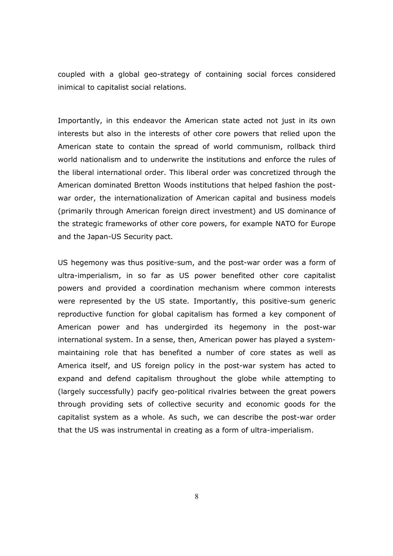coupled with a global geo-strategy of containing social forces considered inimical to capitalist social relations.

Importantly, in this endeavor the American state acted not just in its own interests but also in the interests of other core powers that relied upon the American state to contain the spread of world communism, rollback third world nationalism and to underwrite the institutions and enforce the rules of the liberal international order. This liberal order was concretized through the American dominated Bretton Woods institutions that helped fashion the postwar order, the internationalization of American capital and business models (primarily through American foreign direct investment) and US dominance of the strategic frameworks of other core powers, for example NATO for Europe and the Japan-US Security pact.

US hegemony was thus positive-sum, and the post-war order was a form of ultra-imperialism, in so far as US power benefited other core capitalist powers and provided a coordination mechanism where common interests were represented by the US state. Importantly, this positive-sum generic reproductive function for global capitalism has formed a key component of American power and has undergirded its hegemony in the post-war international system. In a sense, then, American power has played a systemmaintaining role that has benefited a number of core states as well as America itself, and US foreign policy in the post-war system has acted to expand and defend capitalism throughout the globe while attempting to (largely successfully) pacify geo-political rivalries between the great powers through providing sets of collective security and economic goods for the capitalist system as a whole. As such, we can describe the post-war order that the US was instrumental in creating as a form of ultra-imperialism.

8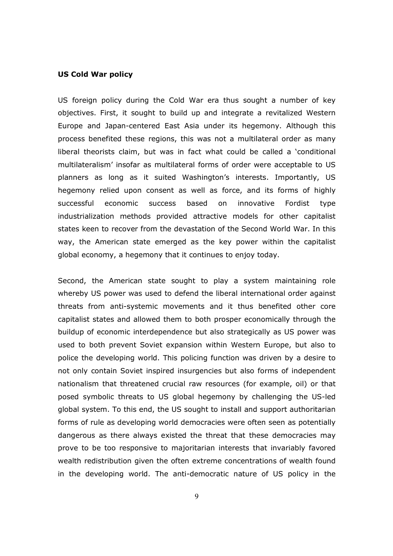#### **US Cold War policy**

US foreign policy during the Cold War era thus sought a number of key objectives. First, it sought to build up and integrate a revitalized Western Europe and Japan-centered East Asia under its hegemony. Although this process benefited these regions, this was not a multilateral order as many liberal theorists claim, but was in fact what could be called a 'conditional multilateralism' insofar as multilateral forms of order were acceptable to US planners as long as it suited Washington's interests. Importantly, US hegemony relied upon consent as well as force, and its forms of highly successful economic success based on innovative Fordist type industrialization methods provided attractive models for other capitalist states keen to recover from the devastation of the Second World War. In this way, the American state emerged as the key power within the capitalist global economy, a hegemony that it continues to enjoy today.

Second, the American state sought to play a system maintaining role whereby US power was used to defend the liberal international order against threats from anti-systemic movements and it thus benefited other core capitalist states and allowed them to both prosper economically through the buildup of economic interdependence but also strategically as US power was used to both prevent Soviet expansion within Western Europe, but also to police the developing world. This policing function was driven by a desire to not only contain Soviet inspired insurgencies but also forms of independent nationalism that threatened crucial raw resources (for example, oil) or that posed symbolic threats to US global hegemony by challenging the US-led global system. To this end, the US sought to install and support authoritarian forms of rule as developing world democracies were often seen as potentially dangerous as there always existed the threat that these democracies may prove to be too responsive to majoritarian interests that invariably favored wealth redistribution given the often extreme concentrations of wealth found in the developing world. The anti-democratic nature of US policy in the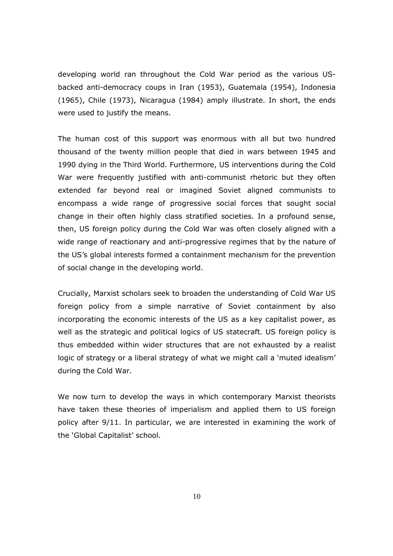developing world ran throughout the Cold War period as the various USbacked anti-democracy coups in Iran (1953), Guatemala (1954), Indonesia (1965), Chile (1973), Nicaragua (1984) amply illustrate. In short, the ends were used to justify the means.

The human cost of this support was enormous with all but two hundred thousand of the twenty million people that died in wars between 1945 and 1990 dying in the Third World. Furthermore, US interventions during the Cold War were frequently justified with anti-communist rhetoric but they often extended far beyond real or imagined Soviet aligned communists to encompass a wide range of progressive social forces that sought social change in their often highly class stratified societies. In a profound sense, then, US foreign policy during the Cold War was often closely aligned with a wide range of reactionary and anti-progressive regimes that by the nature of the US's global interests formed a containment mechanism for the prevention of social change in the developing world.

Crucially, Marxist scholars seek to broaden the understanding of Cold War US foreign policy from a simple narrative of Soviet containment by also incorporating the economic interests of the US as a key capitalist power, as well as the strategic and political logics of US statecraft. US foreign policy is thus embedded within wider structures that are not exhausted by a realist logic of strategy or a liberal strategy of what we might call a 'muted idealism' during the Cold War.

We now turn to develop the ways in which contemporary Marxist theorists have taken these theories of imperialism and applied them to US foreign policy after 9/11. In particular, we are interested in examining the work of the 'Global Capitalist' school.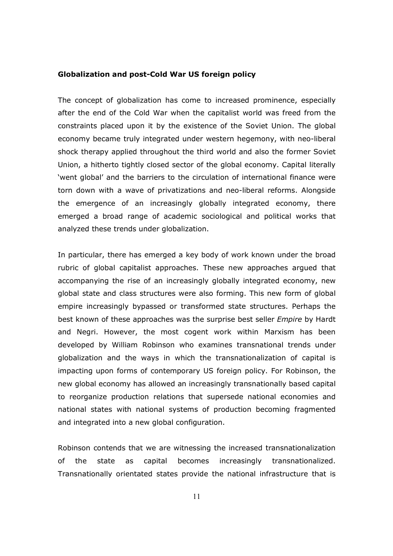#### **Globalization and post-Cold War US foreign policy**

The concept of globalization has come to increased prominence, especially after the end of the Cold War when the capitalist world was freed from the constraints placed upon it by the existence of the Soviet Union. The global economy became truly integrated under western hegemony, with neo-liberal shock therapy applied throughout the third world and also the former Soviet Union, a hitherto tightly closed sector of the global economy. Capital literally 'went global' and the barriers to the circulation of international finance were torn down with a wave of privatizations and neo-liberal reforms. Alongside the emergence of an increasingly globally integrated economy, there emerged a broad range of academic sociological and political works that analyzed these trends under globalization.

In particular, there has emerged a key body of work known under the broad rubric of global capitalist approaches. These new approaches argued that accompanying the rise of an increasingly globally integrated economy, new global state and class structures were also forming. This new form of global empire increasingly bypassed or transformed state structures. Perhaps the best known of these approaches was the surprise best seller *Empire* by Hardt and Negri. However, the most cogent work within Marxism has been developed by William Robinson who examines transnational trends under globalization and the ways in which the transnationalization of capital is impacting upon forms of contemporary US foreign policy. For Robinson, the new global economy has allowed an increasingly transnationally based capital to reorganize production relations that supersede national economies and national states with national systems of production becoming fragmented and integrated into a new global configuration.

Robinson contends that we are witnessing the increased transnationalization of the state as capital becomes increasingly transnationalized. Transnationally orientated states provide the national infrastructure that is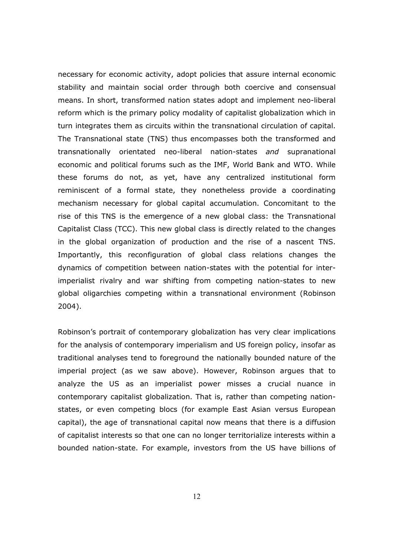necessary for economic activity, adopt policies that assure internal economic stability and maintain social order through both coercive and consensual means. In short, transformed nation states adopt and implement neo-liberal reform which is the primary policy modality of capitalist globalization which in turn integrates them as circuits within the transnational circulation of capital. The Transnational state (TNS) thus encompasses both the transformed and transnationally orientated neo-liberal nation-states *and* supranational economic and political forums such as the IMF, World Bank and WTO. While these forums do not, as yet, have any centralized institutional form reminiscent of a formal state, they nonetheless provide a coordinating mechanism necessary for global capital accumulation. Concomitant to the rise of this TNS is the emergence of a new global class: the Transnational Capitalist Class (TCC). This new global class is directly related to the changes in the global organization of production and the rise of a nascent TNS. Importantly, this reconfiguration of global class relations changes the dynamics of competition between nation-states with the potential for interimperialist rivalry and war shifting from competing nation-states to new global oligarchies competing within a transnational environment (Robinson 2004).

Robinson's portrait of contemporary globalization has very clear implications for the analysis of contemporary imperialism and US foreign policy, insofar as traditional analyses tend to foreground the nationally bounded nature of the imperial project (as we saw above). However, Robinson argues that to analyze the US as an imperialist power misses a crucial nuance in contemporary capitalist globalization. That is, rather than competing nationstates, or even competing blocs (for example East Asian versus European capital), the age of transnational capital now means that there is a diffusion of capitalist interests so that one can no longer territorialize interests within a bounded nation-state. For example, investors from the US have billions of

12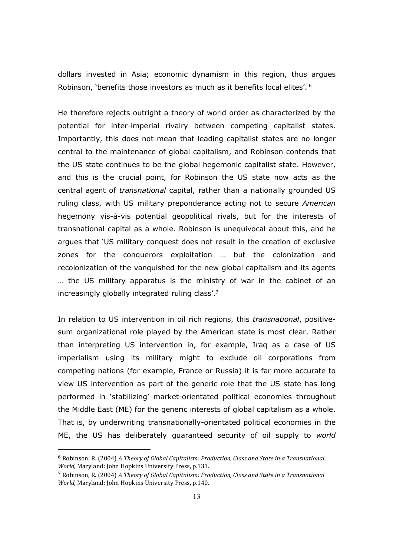dollars invested in Asia; economic dynamism in this region, thus argues Robinson, 'benefits those investors as much as it benefits local elites'.<sup>6</sup>

He therefore rejects outright a theory of world order as characterized by the potential for inter-imperial rivalry between competing capitalist states. Importantly, this does not mean that leading capitalist states are no longer central to the maintenance of global capitalism, and Robinson contends that the US state continues to be the global hegemonic capitalist state. However, and this is the crucial point, for Robinson the US state now acts as the central agent of *transnational* capital, rather than a nationally grounded US ruling class, with US military preponderance acting not to secure *American* hegemony vis-à-vis potential geopolitical rivals, but for the interests of transnational capital as a whole. Robinson is unequivocal about this, and he argues that 'US military conquest does not result in the creation of exclusive zones for the conquerors exploitation … but the colonization and recolonization of the vanquished for the new global capitalism and its agents … the US military apparatus is the ministry of war in the cabinet of an increasingly globally integrated ruling class'.<sup>7</sup>

In relation to US intervention in oil rich regions, this *transnational*, positivesum organizational role played by the American state is most clear. Rather than interpreting US intervention in, for example, Iraq as a case of US imperialism using its military might to exclude oil corporations from competing nations (for example, France or Russia) it is far more accurate to view US intervention as part of the generic role that the US state has long performed in 'stabilizing' market-orientated political economies throughout the Middle East (ME) for the generic interests of global capitalism as a whole. That is, by underwriting transnationally-orientated political economies in the ME, the US has deliberately guaranteed security of oil supply to *world* 

<sup>6</sup> Robinson, R. (2004) *A Theory of Global Capitalism: Production, Class and State in a Transnational World,* Maryland: John Hopkins University Press, p.131.

<sup>7</sup> Robinson, R. (2004) *A Theory of Global Capitalism: Production, Class and State in a Transnational World,* Maryland: John Hopkins University Press, p.140.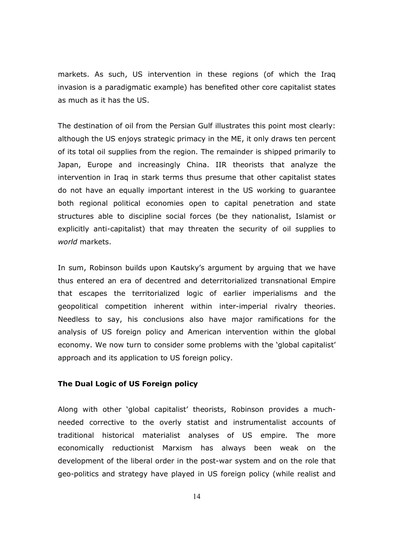markets. As such, US intervention in these regions (of which the Iraq invasion is a paradigmatic example) has benefited other core capitalist states as much as it has the US.

The destination of oil from the Persian Gulf illustrates this point most clearly: although the US enjoys strategic primacy in the ME, it only draws ten percent of its total oil supplies from the region. The remainder is shipped primarily to Japan, Europe and increasingly China. IIR theorists that analyze the intervention in Iraq in stark terms thus presume that other capitalist states do not have an equally important interest in the US working to guarantee both regional political economies open to capital penetration and state structures able to discipline social forces (be they nationalist, Islamist or explicitly anti-capitalist) that may threaten the security of oil supplies to *world* markets.

In sum, Robinson builds upon Kautsky's argument by arguing that we have thus entered an era of decentred and deterritorialized transnational Empire that escapes the territorialized logic of earlier imperialisms and the geopolitical competition inherent within inter-imperial rivalry theories. Needless to say, his conclusions also have major ramifications for the analysis of US foreign policy and American intervention within the global economy. We now turn to consider some problems with the 'global capitalist' approach and its application to US foreign policy.

#### **The Dual Logic of US Foreign policy**

Along with other 'global capitalist' theorists, Robinson provides a muchneeded corrective to the overly statist and instrumentalist accounts of traditional historical materialist analyses of US empire. The more economically reductionist Marxism has always been weak on the development of the liberal order in the post-war system and on the role that geo-politics and strategy have played in US foreign policy (while realist and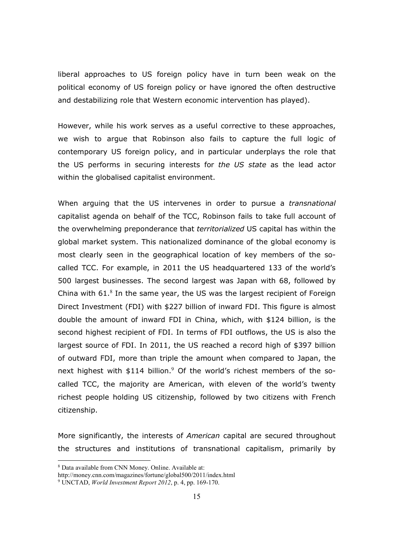liberal approaches to US foreign policy have in turn been weak on the political economy of US foreign policy or have ignored the often destructive and destabilizing role that Western economic intervention has played).

However, while his work serves as a useful corrective to these approaches, we wish to argue that Robinson also fails to capture the full logic of contemporary US foreign policy, and in particular underplays the role that the US performs in securing interests for *the US state* as the lead actor within the globalised capitalist environment.

When arguing that the US intervenes in order to pursue a *transnational* capitalist agenda on behalf of the TCC, Robinson fails to take full account of the overwhelming preponderance that *territorialized* US capital has within the global market system. This nationalized dominance of the global economy is most clearly seen in the geographical location of key members of the socalled TCC. For example, in 2011 the US headquartered 133 of the world's 500 largest businesses. The second largest was Japan with 68, followed by China with  $61<sup>8</sup>$  In the same year, the US was the largest recipient of Foreign Direct Investment (FDI) with \$227 billion of inward FDI. This figure is almost double the amount of inward FDI in China, which, with \$124 billion, is the second highest recipient of FDI. In terms of FDI outflows, the US is also the largest source of FDI. In 2011, the US reached a record high of \$397 billion of outward FDI, more than triple the amount when compared to Japan, the next highest with  $$114$  billion.<sup>9</sup> Of the world's richest members of the socalled TCC, the majority are American, with eleven of the world's twenty richest people holding US citizenship, followed by two citizens with French citizenship.

More significantly, the interests of *American* capital are secured throughout the structures and institutions of transnational capitalism, primarily by

<sup>8</sup> Data available from CNN Money. Online. Available at:

http://money.cnn.com/magazines/fortune/global500/2011/index.html

<sup>9</sup> UNCTAD, *World Investment Report 2012*, p. 4, pp. 169-170.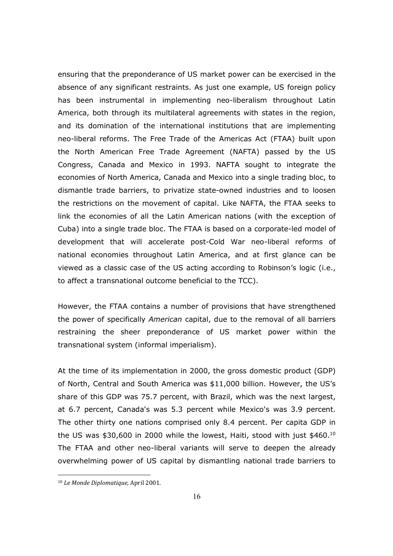ensuring that the preponderance of US market power can be exercised in the absence of any significant restraints. As just one example, US foreign policy has been instrumental in implementing neo-liberalism throughout Latin America, both through its multilateral agreements with states in the region, and its domination of the international institutions that are implementing neo-liberal reforms. The Free Trade of the Americas Act (FTAA) built upon the North American Free Trade Agreement (NAFTA) passed by the US Congress, Canada and Mexico in 1993. NAFTA sought to integrate the economies of North America, Canada and Mexico into a single trading bloc, to dismantle trade barriers, to privatize state-owned industries and to loosen the restrictions on the movement of capital. Like NAFTA, the FTAA seeks to link the economies of all the Latin American nations (with the exception of Cuba) into a single trade bloc. The FTAA is based on a corporate-led model of development that will accelerate post-Cold War neo-liberal reforms of national economies throughout Latin America, and at first glance can be viewed as a classic case of the US acting according to Robinson's logic (i.e., to affect a transnational outcome beneficial to the TCC).

However, the FTAA contains a number of provisions that have strengthened the power of specifically *American* capital, due to the removal of all barriers restraining the sheer preponderance of US market power within the transnational system (informal imperialism).

At the time of its implementation in 2000, the gross domestic product (GDP) of North, Central and South America was \$11,000 billion. However, the US's share of this GDP was 75.7 percent, with Brazil, which was the next largest, at 6.7 percent, Canada's was 5.3 percent while Mexico's was 3.9 percent. The other thirty one nations comprised only 8.4 percent. Per capita GDP in the US was \$30,600 in 2000 while the lowest, Haiti, stood with just \$460.<sup>10</sup> The FTAA and other neo-liberal variants will serve to deepen the already overwhelming power of US capital by dismantling national trade barriers to

<sup>10</sup> *Le Monde Diplomatique,* April 2001.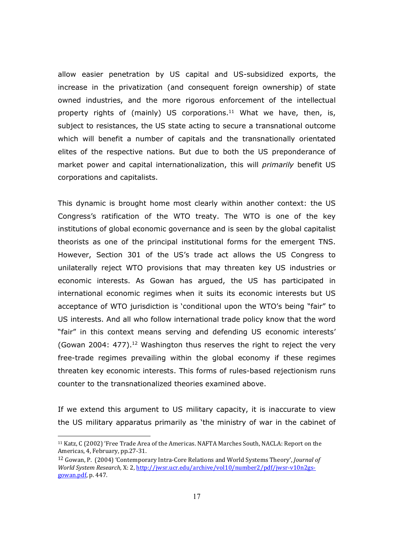allow easier penetration by US capital and US-subsidized exports, the increase in the privatization (and consequent foreign ownership) of state owned industries, and the more rigorous enforcement of the intellectual property rights of (mainly) US corporations.<sup>11</sup> What we have, then, is, subject to resistances, the US state acting to secure a transnational outcome which will benefit a number of capitals and the transnationally orientated elites of the respective nations. But due to both the US preponderance of market power and capital internationalization, this will *primarily* benefit US corporations and capitalists.

This dynamic is brought home most clearly within another context: the US Congress's ratification of the WTO treaty. The WTO is one of the key institutions of global economic governance and is seen by the global capitalist theorists as one of the principal institutional forms for the emergent TNS. However, Section 301 of the US's trade act allows the US Congress to unilaterally reject WTO provisions that may threaten key US industries or economic interests. As Gowan has argued, the US has participated in international economic regimes when it suits its economic interests but US acceptance of WTO jurisdiction is 'conditional upon the WTO's being "fair" to US interests. And all who follow international trade policy know that the word "fair" in this context means serving and defending US economic interests' (Gowan 2004:  $477$ ).<sup>12</sup> Washington thus reserves the right to reject the very free-trade regimes prevailing within the global economy if these regimes threaten key economic interests. This forms of rules-based rejectionism runs counter to the transnationalized theories examined above.

If we extend this argument to US military capacity, it is inaccurate to view the US military apparatus primarily as 'the ministry of war in the cabinet of

<sup>11</sup> Katz, C (2002) 'Free Trade Area of the Americas. NAFTA Marches South, NACLA: Report on the Americas, 4, February, pp.27-31.

<sup>12</sup> Gowan, P. (2004) 'Contemporary Intra-Core Relations and World Systems Theory', *Journal of World System Research*, X: 2, http://jwsr.ucr.edu/archive/vol10/number2/pdf/jwsr-v10n2gsgowan.pdf, p. 447.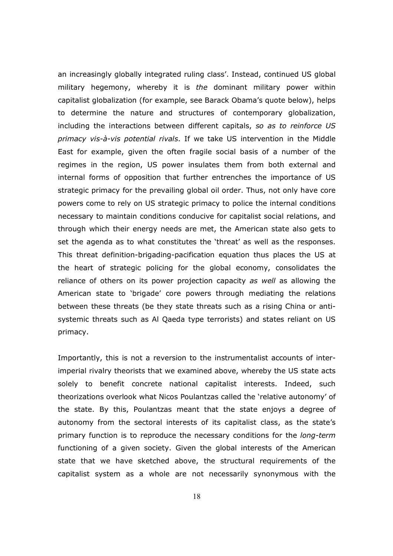an increasingly globally integrated ruling class'. Instead, continued US global military hegemony, whereby it is *the* dominant military power within capitalist globalization (for example, see Barack Obama's quote below), helps to determine the nature and structures of contemporary globalization, including the interactions between different capitals, *so as to reinforce US primacy vis-à-vis potential rivals*. If we take US intervention in the Middle East for example, given the often fragile social basis of a number of the regimes in the region, US power insulates them from both external and internal forms of opposition that further entrenches the importance of US strategic primacy for the prevailing global oil order. Thus, not only have core powers come to rely on US strategic primacy to police the internal conditions necessary to maintain conditions conducive for capitalist social relations, and through which their energy needs are met, the American state also gets to set the agenda as to what constitutes the 'threat' as well as the responses. This threat definition-brigading-pacification equation thus places the US at the heart of strategic policing for the global economy, consolidates the reliance of others on its power projection capacity *as well* as allowing the American state to 'brigade' core powers through mediating the relations between these threats (be they state threats such as a rising China or antisystemic threats such as Al Qaeda type terrorists) and states reliant on US primacy.

Importantly, this is not a reversion to the instrumentalist accounts of interimperial rivalry theorists that we examined above, whereby the US state acts solely to benefit concrete national capitalist interests. Indeed, such theorizations overlook what Nicos Poulantzas called the 'relative autonomy' of the state. By this, Poulantzas meant that the state enjoys a degree of autonomy from the sectoral interests of its capitalist class, as the state's primary function is to reproduce the necessary conditions for the *long-term* functioning of a given society. Given the global interests of the American state that we have sketched above, the structural requirements of the capitalist system as a whole are not necessarily synonymous with the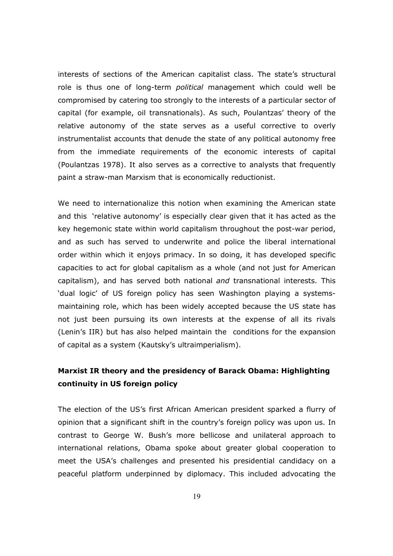interests of sections of the American capitalist class. The state's structural role is thus one of long-term *political* management which could well be compromised by catering too strongly to the interests of a particular sector of capital (for example, oil transnationals). As such, Poulantzas' theory of the relative autonomy of the state serves as a useful corrective to overly instrumentalist accounts that denude the state of any political autonomy free from the immediate requirements of the economic interests of capital (Poulantzas 1978). It also serves as a corrective to analysts that frequently paint a straw-man Marxism that is economically reductionist.

We need to internationalize this notion when examining the American state and this 'relative autonomy' is especially clear given that it has acted as the key hegemonic state within world capitalism throughout the post-war period, and as such has served to underwrite and police the liberal international order within which it enjoys primacy. In so doing, it has developed specific capacities to act for global capitalism as a whole (and not just for American capitalism), and has served both national *and* transnational interests. This 'dual logic' of US foreign policy has seen Washington playing a systemsmaintaining role, which has been widely accepted because the US state has not just been pursuing its own interests at the expense of all its rivals (Lenin's IIR) but has also helped maintain the conditions for the expansion of capital as a system (Kautsky's ultraimperialism).

## **Marxist IR theory and the presidency of Barack Obama: Highlighting continuity in US foreign policy**

The election of the US's first African American president sparked a flurry of opinion that a significant shift in the country's foreign policy was upon us. In contrast to George W. Bush's more bellicose and unilateral approach to international relations, Obama spoke about greater global cooperation to meet the USA's challenges and presented his presidential candidacy on a peaceful platform underpinned by diplomacy. This included advocating the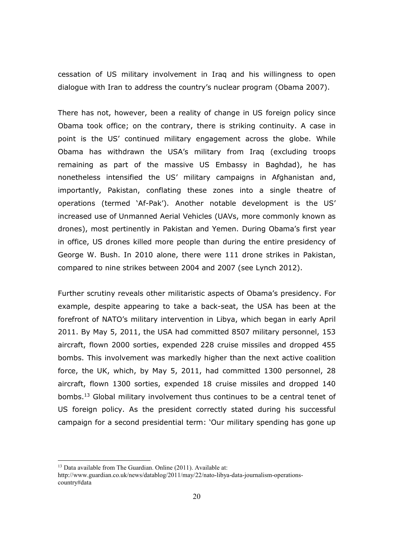cessation of US military involvement in Iraq and his willingness to open dialogue with Iran to address the country's nuclear program (Obama 2007).

There has not, however, been a reality of change in US foreign policy since Obama took office; on the contrary, there is striking continuity. A case in point is the US' continued military engagement across the globe. While Obama has withdrawn the USA's military from Iraq (excluding troops remaining as part of the massive US Embassy in Baghdad), he has nonetheless intensified the US' military campaigns in Afghanistan and, importantly, Pakistan, conflating these zones into a single theatre of operations (termed 'Af-Pak'). Another notable development is the US' increased use of Unmanned Aerial Vehicles (UAVs, more commonly known as drones), most pertinently in Pakistan and Yemen. During Obama's first year in office, US drones killed more people than during the entire presidency of George W. Bush. In 2010 alone, there were 111 drone strikes in Pakistan, compared to nine strikes between 2004 and 2007 (see Lynch 2012).

Further scrutiny reveals other militaristic aspects of Obama's presidency. For example, despite appearing to take a back-seat, the USA has been at the forefront of NATO's military intervention in Libya, which began in early April 2011. By May 5, 2011, the USA had committed 8507 military personnel, 153 aircraft, flown 2000 sorties, expended 228 cruise missiles and dropped 455 bombs. This involvement was markedly higher than the next active coalition force, the UK, which, by May 5, 2011, had committed 1300 personnel, 28 aircraft, flown 1300 sorties, expended 18 cruise missiles and dropped 140 bombs.<sup>13</sup> Global military involvement thus continues to be a central tenet of US foreign policy. As the president correctly stated during his successful campaign for a second presidential term: 'Our military spending has gone up

-

http://www.guardian.co.uk/news/datablog/2011/may/22/nato-libya-data-journalism-operationscountry#data

<sup>&</sup>lt;sup>13</sup> Data available from The Guardian. Online (2011). Available at: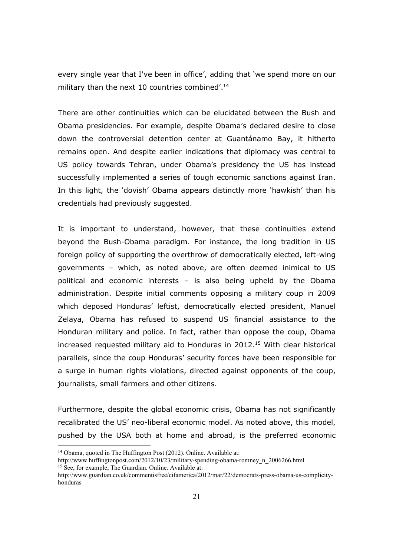every single year that I've been in office', adding that 'we spend more on our military than the next 10 countries combined'.<sup>14</sup>

There are other continuities which can be elucidated between the Bush and Obama presidencies. For example, despite Obama's declared desire to close down the controversial detention center at Guantánamo Bay, it hitherto remains open. And despite earlier indications that diplomacy was central to US policy towards Tehran, under Obama's presidency the US has instead successfully implemented a series of tough economic sanctions against Iran. In this light, the 'dovish' Obama appears distinctly more 'hawkish' than his credentials had previously suggested.

It is important to understand, however, that these continuities extend beyond the Bush-Obama paradigm. For instance, the long tradition in US foreign policy of supporting the overthrow of democratically elected, left-wing governments – which, as noted above, are often deemed inimical to US political and economic interests – is also being upheld by the Obama administration. Despite initial comments opposing a military coup in 2009 which deposed Honduras' leftist, democratically elected president, Manuel Zelaya, Obama has refused to suspend US financial assistance to the Honduran military and police. In fact, rather than oppose the coup, Obama increased requested military aid to Honduras in 2012.<sup>15</sup> With clear historical parallels, since the coup Honduras' security forces have been responsible for a surge in human rights violations, directed against opponents of the coup, journalists, small farmers and other citizens.

Furthermore, despite the global economic crisis, Obama has not significantly recalibrated the US' neo-liberal economic model. As noted above, this model, pushed by the USA both at home and abroad, is the preferred economic

<sup>&</sup>lt;sup>14</sup> Obama, quoted in The Huffington Post (2012). Online. Available at:

http://www.huffingtonpost.com/2012/10/23/military-spending-obama-romney\_n\_2006266.html <sup>15</sup> See, for example, The Guardian. Online. Available at:

http://www.guardian.co.uk/commentisfree/cifamerica/2012/mar/22/democrats-press-obama-us-complicityhonduras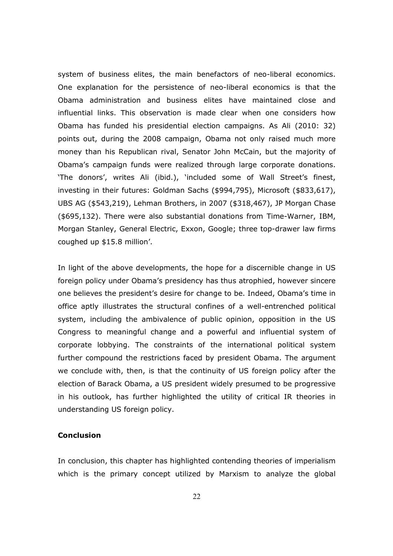system of business elites, the main benefactors of neo-liberal economics. One explanation for the persistence of neo-liberal economics is that the Obama administration and business elites have maintained close and influential links. This observation is made clear when one considers how Obama has funded his presidential election campaigns. As Ali (2010: 32) points out, during the 2008 campaign, Obama not only raised much more money than his Republican rival, Senator John McCain, but the majority of Obama's campaign funds were realized through large corporate donations. 'The donors', writes Ali (ibid.), 'included some of Wall Street's finest, investing in their futures: Goldman Sachs (\$994,795), Microsoft (\$833,617), UBS AG (\$543,219), Lehman Brothers, in 2007 (\$318,467), JP Morgan Chase (\$695,132). There were also substantial donations from Time-Warner, IBM, Morgan Stanley, General Electric, Exxon, Google; three top-drawer law firms coughed up \$15.8 million'.

In light of the above developments, the hope for a discernible change in US foreign policy under Obama's presidency has thus atrophied, however sincere one believes the president's desire for change to be. Indeed, Obama's time in office aptly illustrates the structural confines of a well-entrenched political system, including the ambivalence of public opinion, opposition in the US Congress to meaningful change and a powerful and influential system of corporate lobbying. The constraints of the international political system further compound the restrictions faced by president Obama. The argument we conclude with, then, is that the continuity of US foreign policy after the election of Barack Obama, a US president widely presumed to be progressive in his outlook, has further highlighted the utility of critical IR theories in understanding US foreign policy.

#### **Conclusion**

In conclusion, this chapter has highlighted contending theories of imperialism which is the primary concept utilized by Marxism to analyze the global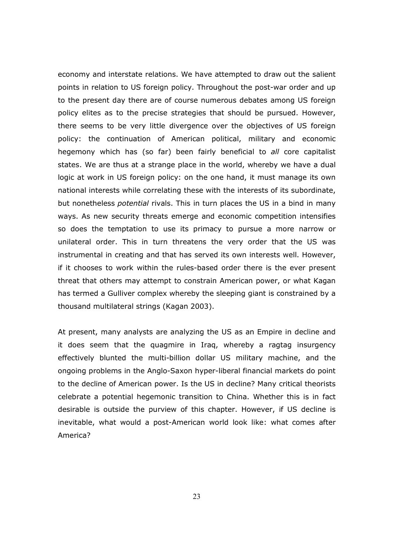economy and interstate relations. We have attempted to draw out the salient points in relation to US foreign policy. Throughout the post-war order and up to the present day there are of course numerous debates among US foreign policy elites as to the precise strategies that should be pursued. However, there seems to be very little divergence over the objectives of US foreign policy: the continuation of American political, military and economic hegemony which has (so far) been fairly beneficial to *all* core capitalist states. We are thus at a strange place in the world, whereby we have a dual logic at work in US foreign policy: on the one hand, it must manage its own national interests while correlating these with the interests of its subordinate, but nonetheless *potential* rivals. This in turn places the US in a bind in many ways. As new security threats emerge and economic competition intensifies so does the temptation to use its primacy to pursue a more narrow or unilateral order. This in turn threatens the very order that the US was instrumental in creating and that has served its own interests well. However, if it chooses to work within the rules-based order there is the ever present threat that others may attempt to constrain American power, or what Kagan has termed a Gulliver complex whereby the sleeping giant is constrained by a thousand multilateral strings (Kagan 2003).

At present, many analysts are analyzing the US as an Empire in decline and it does seem that the quagmire in Iraq, whereby a ragtag insurgency effectively blunted the multi-billion dollar US military machine, and the ongoing problems in the Anglo-Saxon hyper-liberal financial markets do point to the decline of American power. Is the US in decline? Many critical theorists celebrate a potential hegemonic transition to China. Whether this is in fact desirable is outside the purview of this chapter. However, if US decline is inevitable, what would a post-American world look like: what comes after America?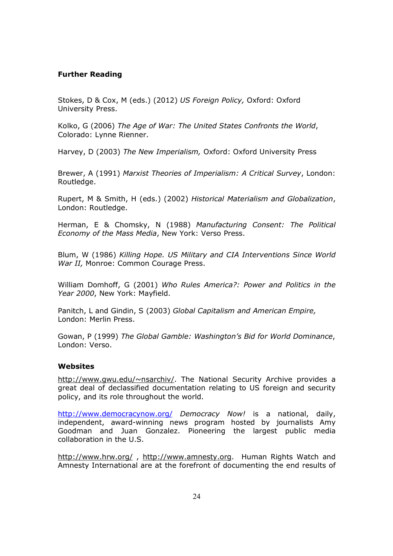#### **Further Reading**

Stokes, D & Cox, M (eds.) (2012) *US Foreign Policy,* Oxford: Oxford University Press.

Kolko, G (2006) *The Age of War: The United States Confronts the World*, Colorado: Lynne Rienner.

Harvey, D (2003) *The New Imperialism,* Oxford: Oxford University Press

Brewer, A (1991) *Marxist Theories of Imperialism: A Critical Survey*, London: Routledge.

Rupert, M & Smith, H (eds.) (2002) *Historical Materialism and Globalization*, London: Routledge.

Herman, E & Chomsky, N (1988) *Manufacturing Consent: The Political Economy of the Mass Media*, New York: Verso Press.

Blum, W (1986) *Killing Hope. US Military and CIA Interventions Since World War II,* Monroe: Common Courage Press.

William Domhoff, G (2001) *Who Rules America?: Power and Politics in the Year 2000*, New York: Mayfield.

Panitch, L and Gindin, S (2003) *Global Capitalism and American Empire,*  London: Merlin Press.

Gowan, P (1999) *The Global Gamble: Washington's Bid for World Dominance*, London: Verso.

#### **Websites**

http://www.gwu.edu/~nsarchiv/. The National Security Archive provides a great deal of declassified documentation relating to US foreign and security policy, and its role throughout the world.

http://www.democracynow.org/ *Democracy Now!* is a national, daily, independent, award-winning news program hosted by journalists Amy Goodman and Juan Gonzalez. Pioneering the largest public media collaboration in the U.S.

http://www.hrw.org/, http://www.amnesty.org. Human Rights Watch and Amnesty International are at the forefront of documenting the end results of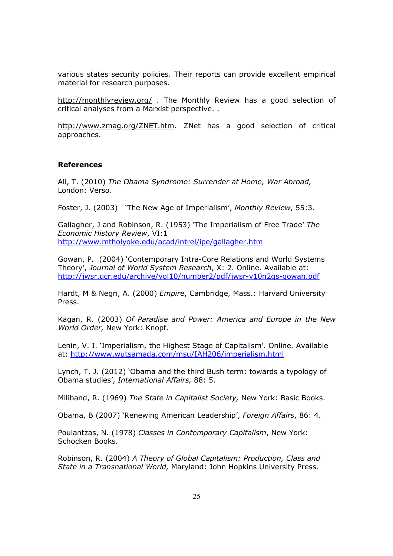various states security policies. Their reports can provide excellent empirical material for research purposes.

http://monthlyreview.org/ . The Monthly Review has a good selection of critical analyses from a Marxist perspective. .

http://www.zmag.org/ZNET.htm. ZNet has a good selection of critical approaches.

#### **References**

Ali, T. (2010) *The Obama Syndrome: Surrender at Home, War Abroad,*  London: Verso.

Foster, J. (2003) 'The New Age of Imperialism', *Monthly Review*, 55:3.

Gallagher, J and Robinson, R. (1953) 'The Imperialism of Free Trade' *The Economic History Review*, VI:1 http://www.mtholyoke.edu/acad/intrel/ipe/gallagher.htm

Gowan, P. (2004) 'Contemporary Intra-Core Relations and World Systems Theory', *Journal of World System Research*, X: 2. Online. Available at: http://jwsr.ucr.edu/archive/vol10/number2/pdf/jwsr-v10n2gs-gowan.pdf

Hardt, M & Negri, A. (2000) *Empire*, Cambridge, Mass.: Harvard University Press.

Kagan, R. (2003) *Of Paradise and Power: America and Europe in the New World Order,* New York: Knopf.

Lenin, V. I. 'Imperialism, the Highest Stage of Capitalism'. Online. Available at: http://www.wutsamada.com/msu/IAH206/imperialism.html

Lynch, T. J. (2012) 'Obama and the third Bush term: towards a typology of Obama studies', *International Affairs,* 88: 5.

Miliband, R. (1969) *The State in Capitalist Society,* New York: Basic Books.

Obama, B (2007) 'Renewing American Leadership', *Foreign Affairs*, 86: 4.

Poulantzas, N. (1978) *Classes in Contemporary Capitalism*, New York: Schocken Books.

Robinson, R. (2004) *A Theory of Global Capitalism: Production, Class and State in a Transnational World,* Maryland: John Hopkins University Press.